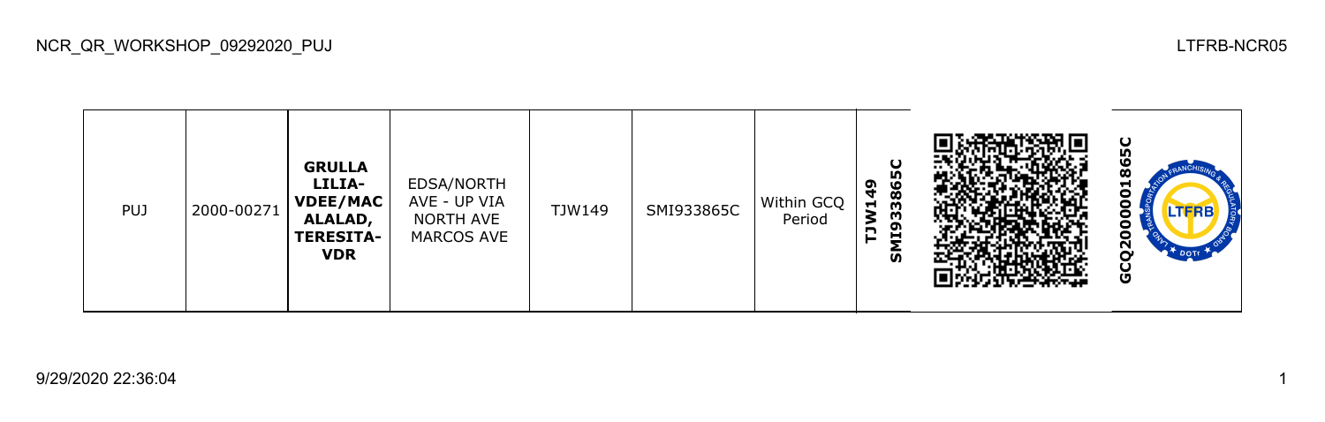NCR\_QR\_WORKSHOP\_09292020\_PUJ LTFRB-NCR05

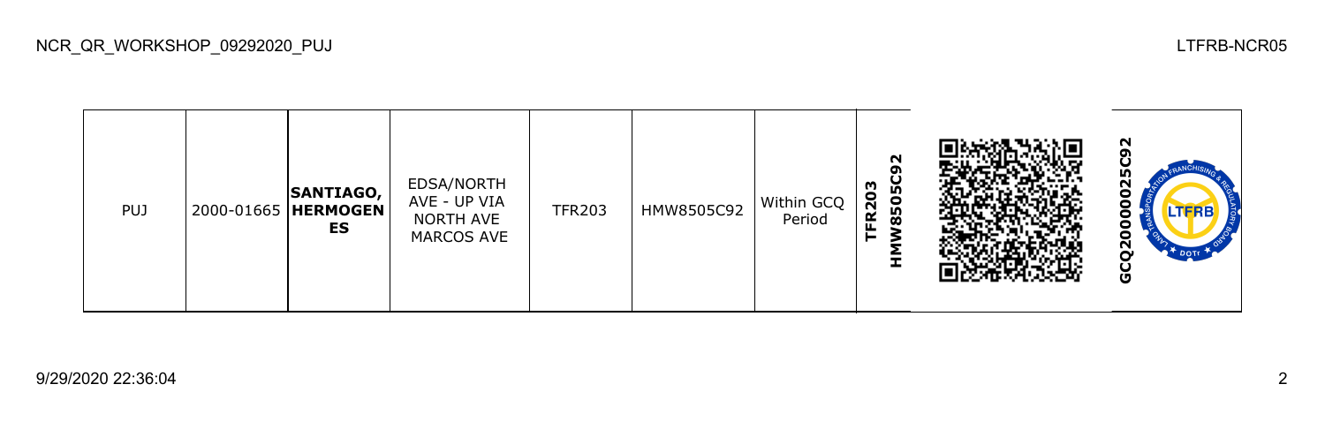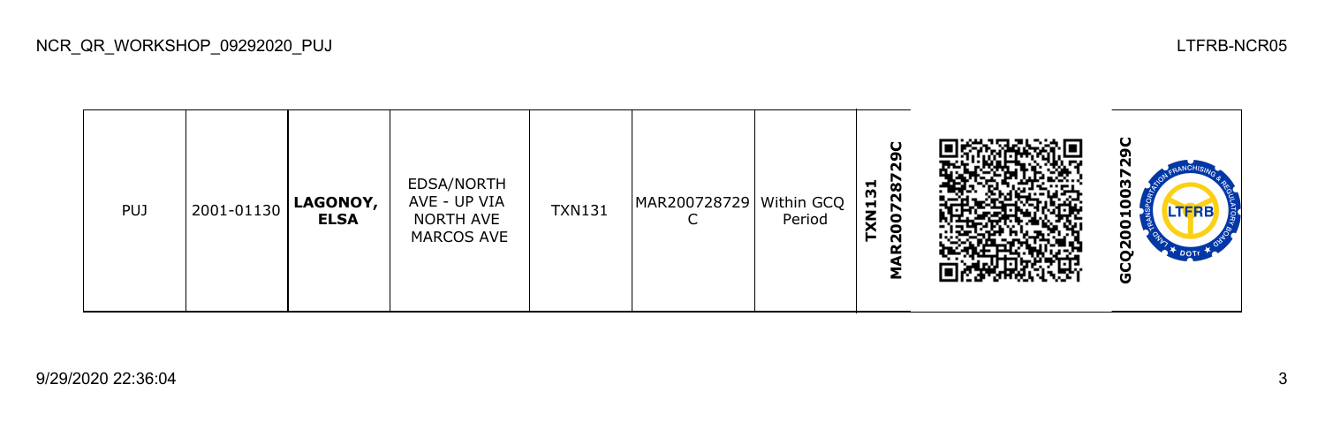| <b>PUJ</b> | 2001-01130 | LAGONOY,<br><b>ELSA</b> | EDSA/NORTH<br>AVE - UP VIA<br>NORTH AVE<br>MARCOS AVE | <b>TXN131</b> | MAR200728729 | Within GCQ<br>Period | O<br>287<br>Ħ<br>m<br>$\blacksquare$<br>$\zeta$<br>g<br>N |  | ပ<br>o<br>m<br>$\bullet$<br>۰<br>H<br>0<br>o<br>$\overline{Q}$<br><b>DOTT</b><br>ပ<br>Ū |
|------------|------------|-------------------------|-------------------------------------------------------|---------------|--------------|----------------------|-----------------------------------------------------------|--|-----------------------------------------------------------------------------------------|
|------------|------------|-------------------------|-------------------------------------------------------|---------------|--------------|----------------------|-----------------------------------------------------------|--|-----------------------------------------------------------------------------------------|

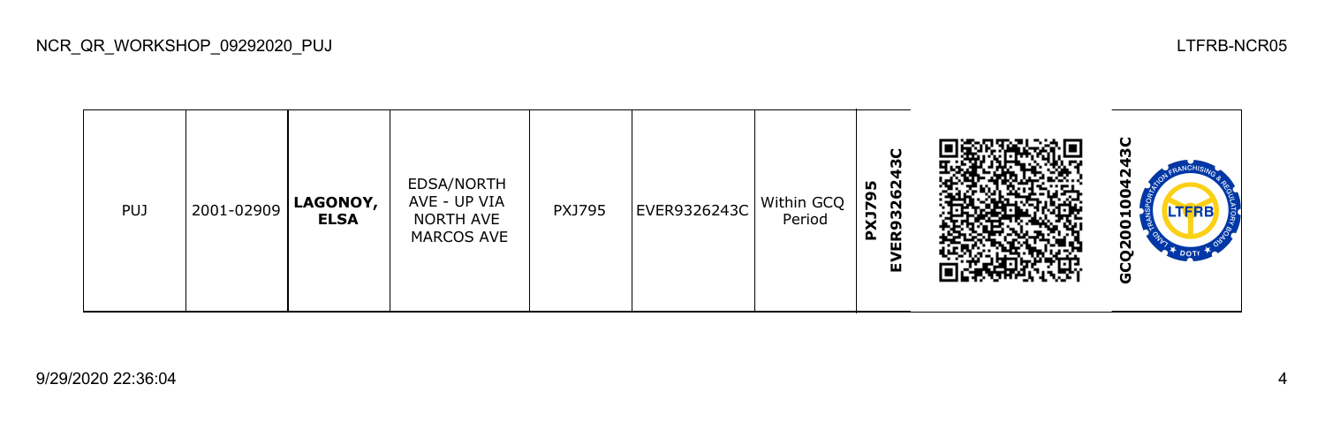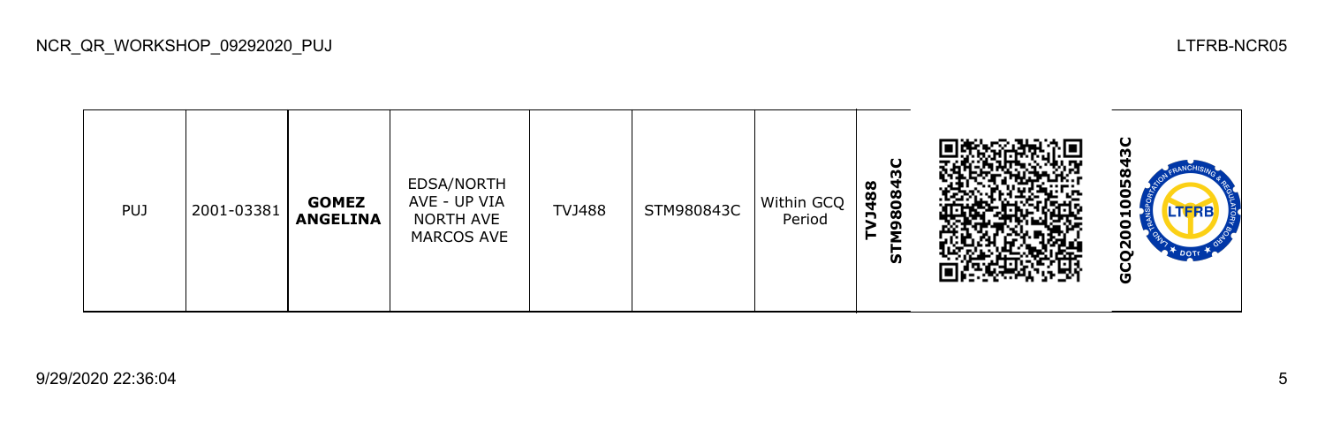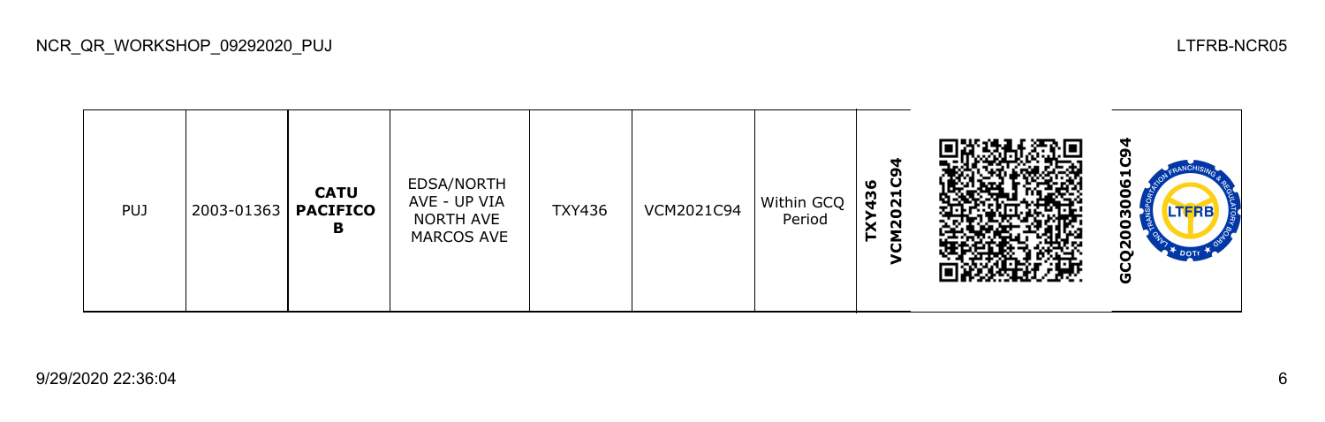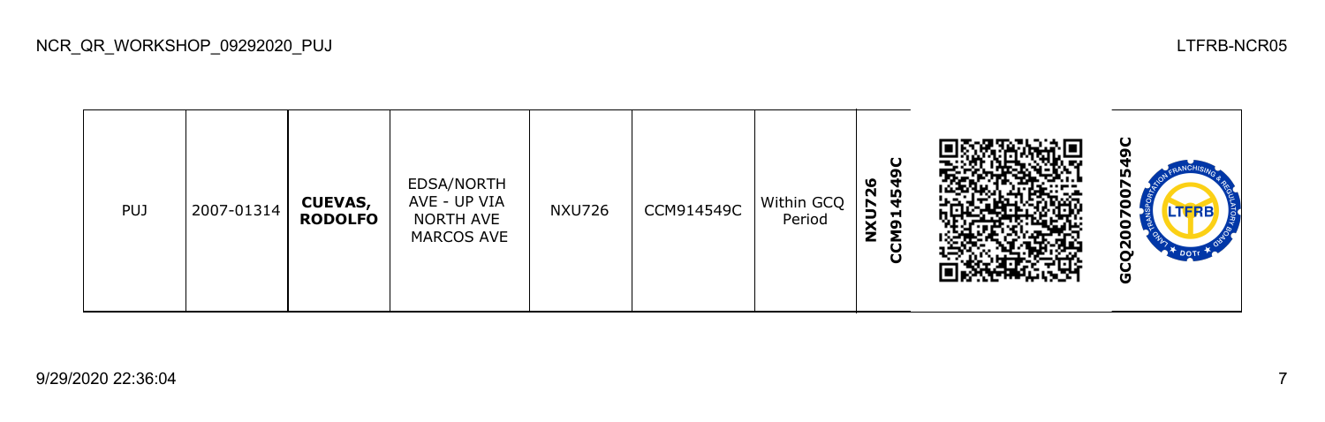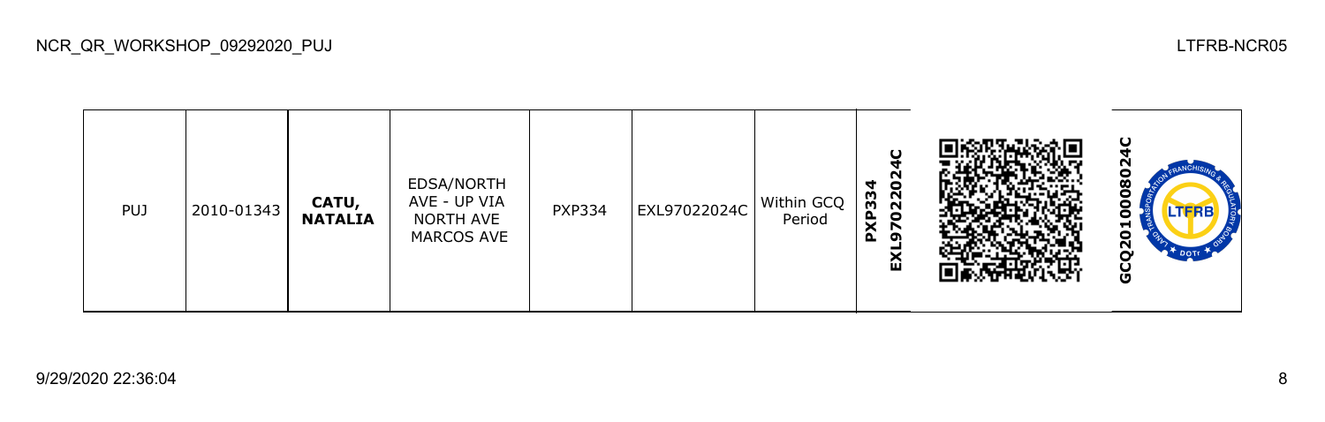| <b>PUJ</b> | 2010-01343 | CATU,<br><b>NATALIA</b> | EDSA/NORTH<br>AVE - UP VIA<br>NORTH AVE<br>MARCOS AVE | <b>PXP334</b> | EXL97022024C | Within GCQ<br>Period | $\cup$<br>PXP334<br>9702202<br>ă |  | ပ<br>c<br>$\overline{\mathbf{8}}$<br>0<br>LTFRB<br>$\bullet$<br>5<br>$\overline{Q}$<br>$2^*$ DOTE<br>Ğ |
|------------|------------|-------------------------|-------------------------------------------------------|---------------|--------------|----------------------|----------------------------------|--|--------------------------------------------------------------------------------------------------------|
|------------|------------|-------------------------|-------------------------------------------------------|---------------|--------------|----------------------|----------------------------------|--|--------------------------------------------------------------------------------------------------------|

NCR\_QR\_WORKSHOP\_09292020\_PUJ LTFRB-NCR05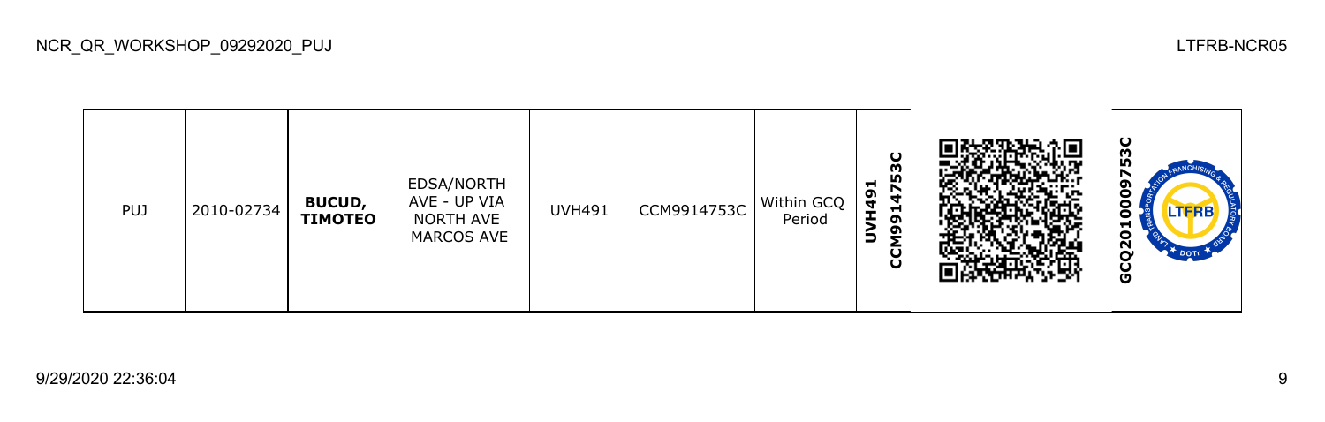| PUJ | 2010-02734 | <b>BUCUD,</b><br><b>TIMOTEO</b> | EDSA/NORTH<br>AVE - UP VIA<br>NORTH AVE<br>MARCOS AVE | <b>UVH491</b> | CCM9914753C | Within GCQ<br>Period | ပ<br>753<br>−<br>ຶ<br>4<br>4<br>Н<br>ຸດ<br>໑<br>∍<br>ပ္ပ |  | ပ<br>ნე<br>ი<br>r<br>ີຕ<br>LTFRB<br>−<br>0<br>$\overline{2}$<br>DOTT<br>Ū |
|-----|------------|---------------------------------|-------------------------------------------------------|---------------|-------------|----------------------|----------------------------------------------------------|--|---------------------------------------------------------------------------|
|-----|------------|---------------------------------|-------------------------------------------------------|---------------|-------------|----------------------|----------------------------------------------------------|--|---------------------------------------------------------------------------|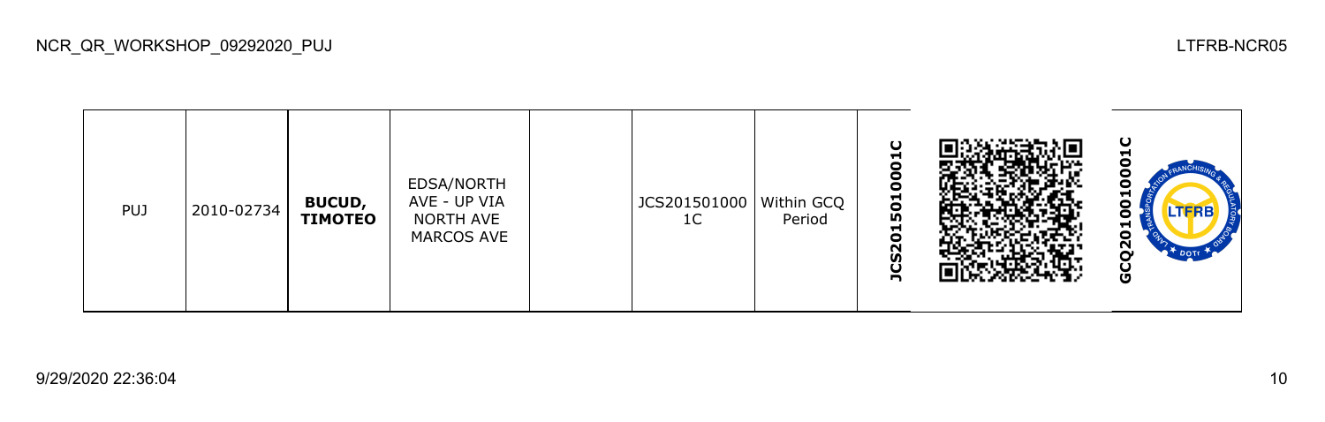| <b>PUJ</b> | 2010-02734 | <b>BUCUD,</b><br><b>TIMOTEO</b> | EDSA/NORTH<br>AVE - UP VIA<br>NORTH AVE<br>MARCOS AVE |  | JCS201501000   Within GCQ<br>1 <sup>C</sup> | Period | $\cup$<br>ы<br>c<br>$\bullet$<br>Ō<br>501<br>$\blacksquare$<br>$\bullet$<br>$\sim$<br><b>S</b><br>n |  | ပ<br>Н<br>o<br>ο<br>⊣<br>o<br>ςŠ<br>DOTE<br>U<br>O |
|------------|------------|---------------------------------|-------------------------------------------------------|--|---------------------------------------------|--------|-----------------------------------------------------------------------------------------------------|--|----------------------------------------------------|
|------------|------------|---------------------------------|-------------------------------------------------------|--|---------------------------------------------|--------|-----------------------------------------------------------------------------------------------------|--|----------------------------------------------------|

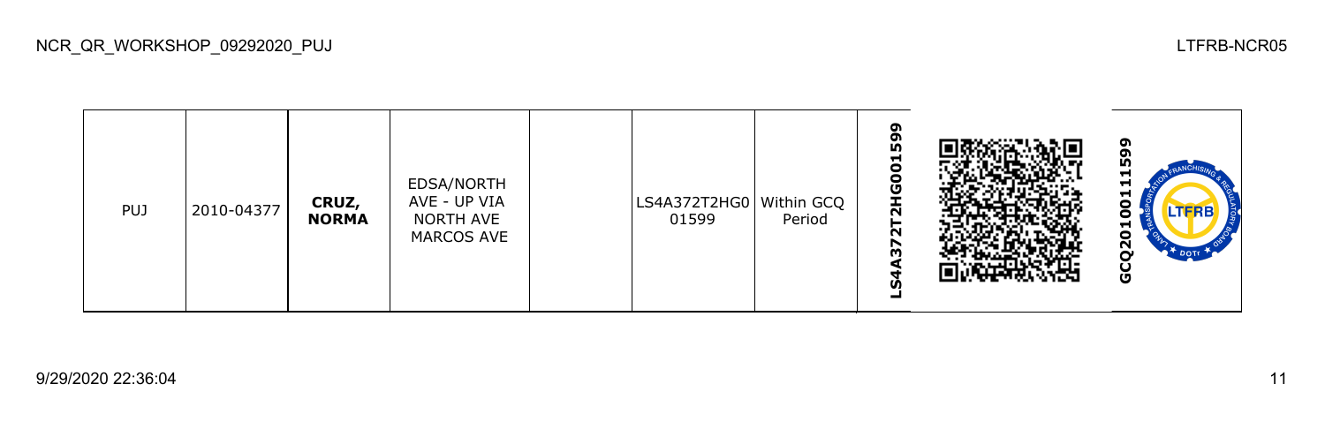| <b>PUJ</b> | 2010-04377 | CRUZ,<br><b>NORMA</b> | EDSA/NORTH<br>AVE - UP VIA<br>NORTH AVE<br>MARCOS AVE |  | LS4A372T2HG0 Within GCQ<br>01599 | Period | o<br>თ<br>ნ<br>Н<br>0<br>0<br>⊻<br>$\sim$<br>N<br>57<br>un |  | ໑<br>ຫ<br>ŋ<br>−<br>⊣<br>H<br>LTFRB<br>−<br>o<br>$\bar{\mathbf{N}}$<br>∼<br>DOTT<br>Ū |
|------------|------------|-----------------------|-------------------------------------------------------|--|----------------------------------|--------|------------------------------------------------------------|--|---------------------------------------------------------------------------------------|
|------------|------------|-----------------------|-------------------------------------------------------|--|----------------------------------|--------|------------------------------------------------------------|--|---------------------------------------------------------------------------------------|

NCR\_QR\_WORKSHOP\_09292020\_PUJ LTFRB-NCR05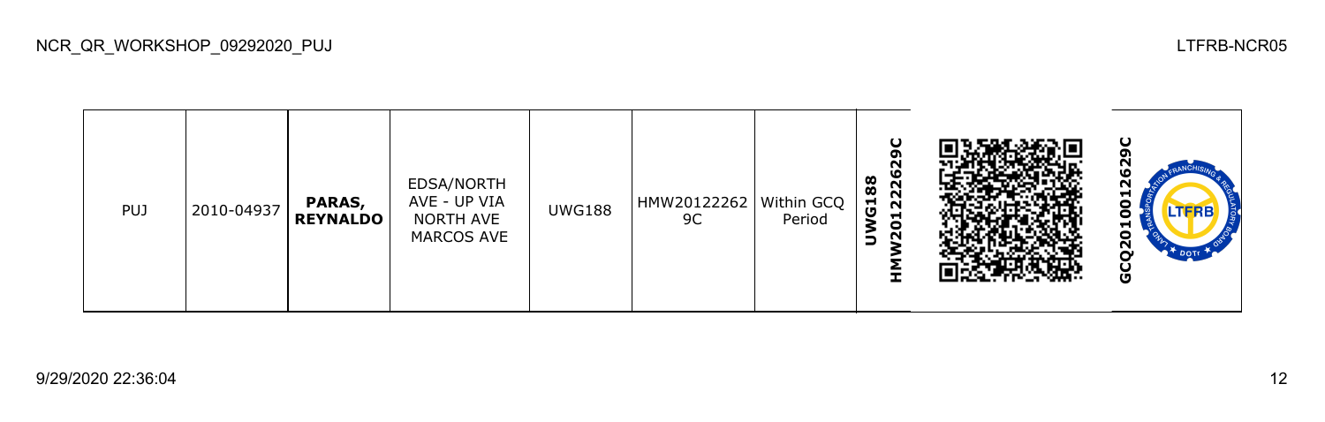| <b>PUJ</b> | 2010-04937 | PARAS,<br><b>REYNALDO</b> | EDSA/NORTH<br>AVE - UP VIA<br>NORTH AVE<br>MARCOS AVE | <b>UWG188</b> | HMW20122262   Within GCQ<br>9C | Period | ပ<br>o<br>N<br>12226<br>88<br>ច<br>20 |  | ပ<br>o<br>ഥ<br>N<br>⊣<br>o<br>LTERB<br>−<br>ο<br>2<br>O |
|------------|------------|---------------------------|-------------------------------------------------------|---------------|--------------------------------|--------|---------------------------------------|--|---------------------------------------------------------|
|------------|------------|---------------------------|-------------------------------------------------------|---------------|--------------------------------|--------|---------------------------------------|--|---------------------------------------------------------|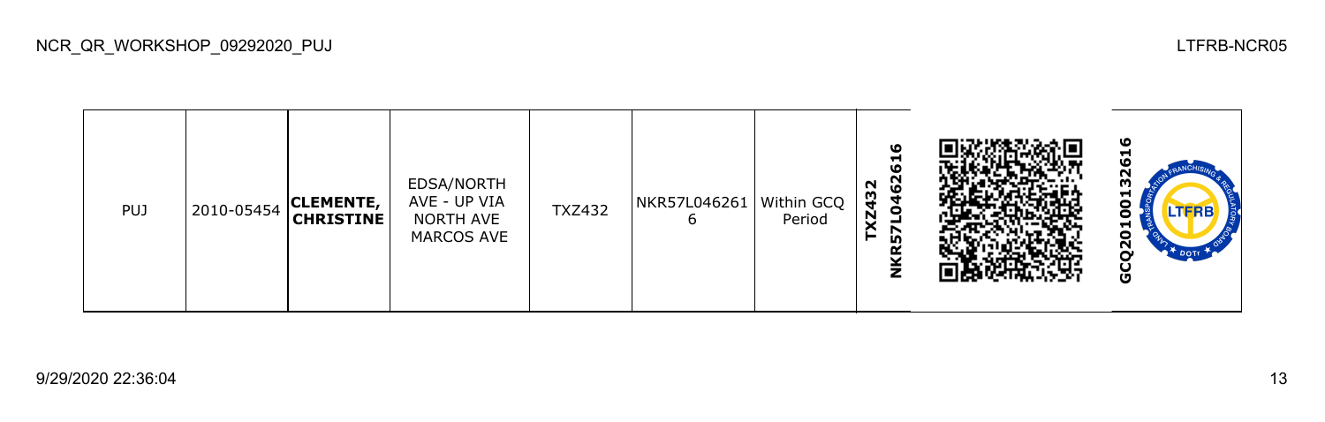| <b>PUJ</b> | 2010-05454 | <b>CLEMENTE,</b><br><b>CHRISTINE</b> | EDSA/NORTH<br>AVE - UP VIA<br>NORTH AVE<br>MARCOS AVE | <b>TXZ432</b> | NKR57L046261   Within GCQ | Period | ဖ<br>ᆋ<br><b>10</b><br>0462<br>N<br>Z43<br>r<br>in.<br>⊻<br>z |  | ഄ<br>-<br>N<br>m<br>H<br>−<br>ο<br>N<br>Ū |
|------------|------------|--------------------------------------|-------------------------------------------------------|---------------|---------------------------|--------|---------------------------------------------------------------|--|-------------------------------------------|
|------------|------------|--------------------------------------|-------------------------------------------------------|---------------|---------------------------|--------|---------------------------------------------------------------|--|-------------------------------------------|

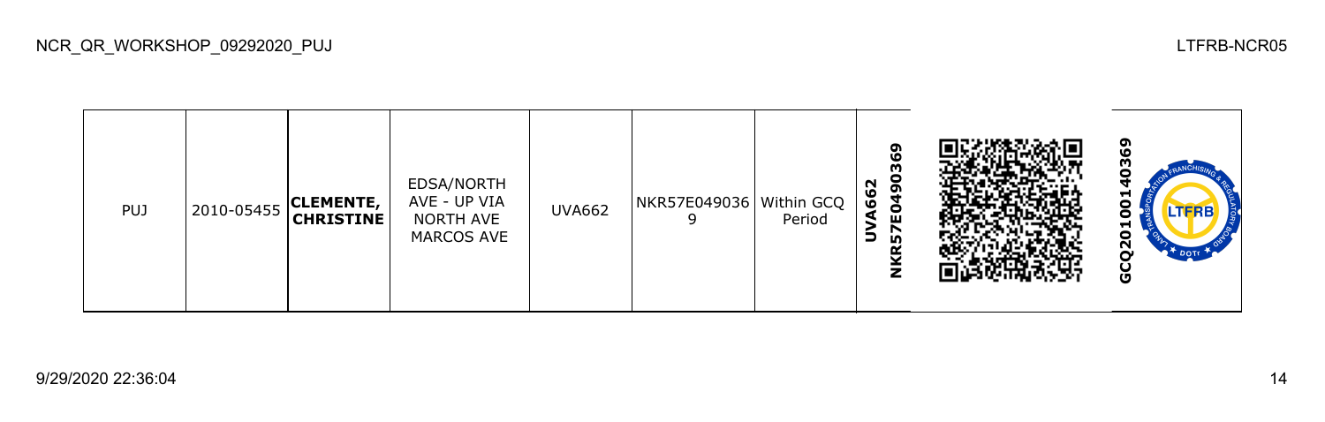| <b>PUJ</b> | 2010-05455 | <b>CLEMENTE,</b><br><b>CHRISTINE</b> | EDSA/NORTH<br>AVE - UP VIA<br>NORTH AVE<br>MARCOS AVE | <b>UVA662</b> | NKR57E049036   Within GCQ | Period | 490369<br>N<br>$\overline{6}$<br>ရှိ<br>◢<br>r<br>LO.<br>≃<br>⊻<br>$\mathbf{z}$ |  | ໑<br>Ō<br>m<br>−<br>o<br>LTFRE<br>⊣<br>ο<br>$\mathbf{S}$<br><sup>+</sup> DOTT<br>မိ |
|------------|------------|--------------------------------------|-------------------------------------------------------|---------------|---------------------------|--------|---------------------------------------------------------------------------------|--|-------------------------------------------------------------------------------------|
|------------|------------|--------------------------------------|-------------------------------------------------------|---------------|---------------------------|--------|---------------------------------------------------------------------------------|--|-------------------------------------------------------------------------------------|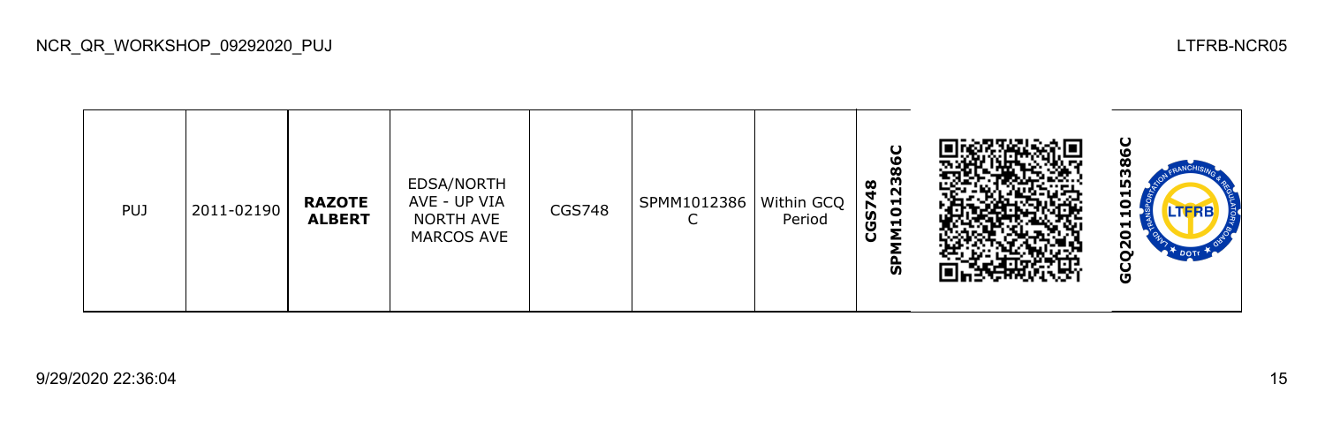| <b>PUJ</b> | 2011-02190 | <b>RAZOTE</b><br><b>ALBERT</b> | EDSA/NORTH<br>AVE - UP VIA<br>NORTH AVE<br>MARCOS AVE | CGS748 | SPMM1012386 | Within GCQ<br>Period | ပ<br>ဖ<br>Ø<br>23<br>œ<br>4<br>101<br>GS7<br>ပ<br>င္ဟ |  | ပ<br>ო<br>ს<br>Н<br>0<br><b>LTFRB</b><br>⊣<br>5<br>N<br>DOTI<br>O |
|------------|------------|--------------------------------|-------------------------------------------------------|--------|-------------|----------------------|-------------------------------------------------------|--|-------------------------------------------------------------------|
|------------|------------|--------------------------------|-------------------------------------------------------|--------|-------------|----------------------|-------------------------------------------------------|--|-------------------------------------------------------------------|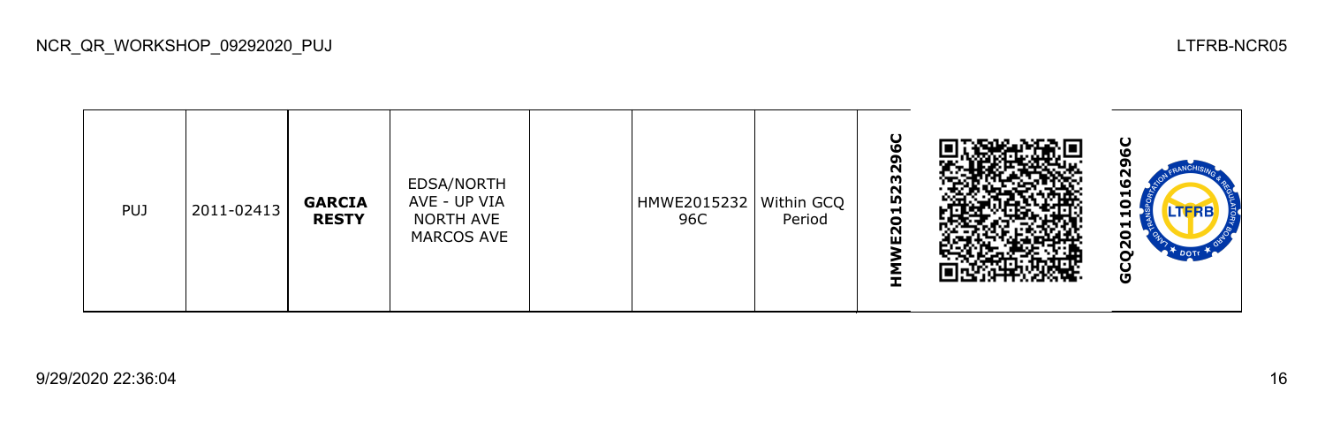| <b>PUJ</b> | 2011-02413 | <b>GARCIA</b><br><b>RESTY</b> | EDSA/NORTH<br>AVE - UP VIA<br>NORTH AVE<br>MARCOS AVE |  | HMWE2015232   Within GCQ<br>96C | Period | ပ<br>٥<br>2329<br><b>IV</b><br>5<br>N<br>ш |  | ပ<br>רי<br>Φ<br>ᆋ<br>o<br><b>LTFRB</b><br>⊣<br>⊣<br>Ξ<br>ū<br>O |
|------------|------------|-------------------------------|-------------------------------------------------------|--|---------------------------------|--------|--------------------------------------------|--|-----------------------------------------------------------------|
|------------|------------|-------------------------------|-------------------------------------------------------|--|---------------------------------|--------|--------------------------------------------|--|-----------------------------------------------------------------|

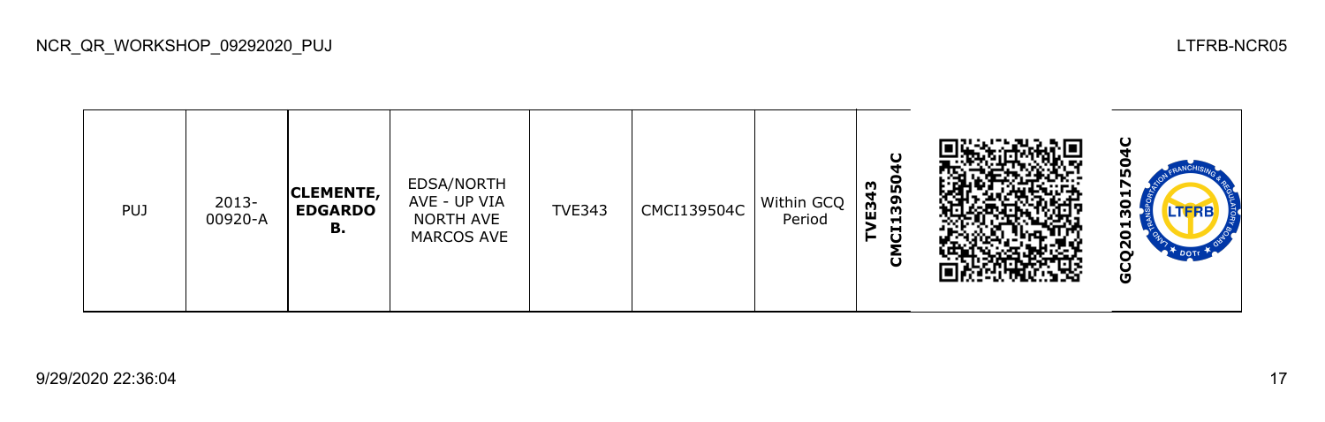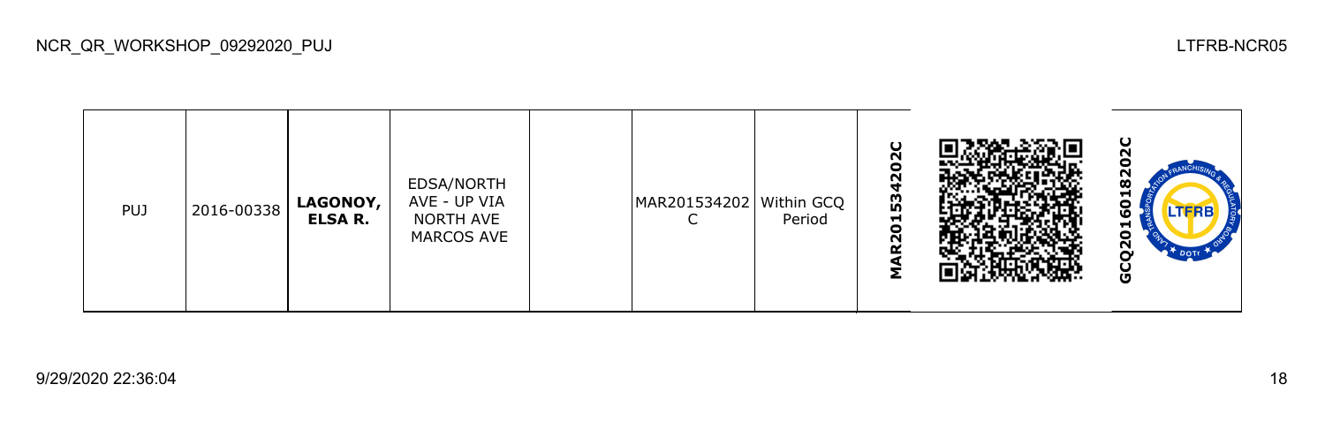| <b>PUJ</b> | 2016-00338 | <b>LAGONOY,</b><br><b>ELSA R.</b> | EDSA/NORTH<br>AVE - UP VIA<br>NORTH AVE<br>MARCOS AVE |  | MAR201534202 Within GCQ | Period | O<br>So<br>$\mathbf{\Omega}$<br>153<br>$\bullet$<br>N<br>Q |  | ပ<br>ū<br>œ<br>ᆔ<br>n<br>TFRE<br>v<br>−<br>o<br>$\overline{2}$<br><b>DOT</b> T<br>o |
|------------|------------|-----------------------------------|-------------------------------------------------------|--|-------------------------|--------|------------------------------------------------------------|--|-------------------------------------------------------------------------------------|
|------------|------------|-----------------------------------|-------------------------------------------------------|--|-------------------------|--------|------------------------------------------------------------|--|-------------------------------------------------------------------------------------|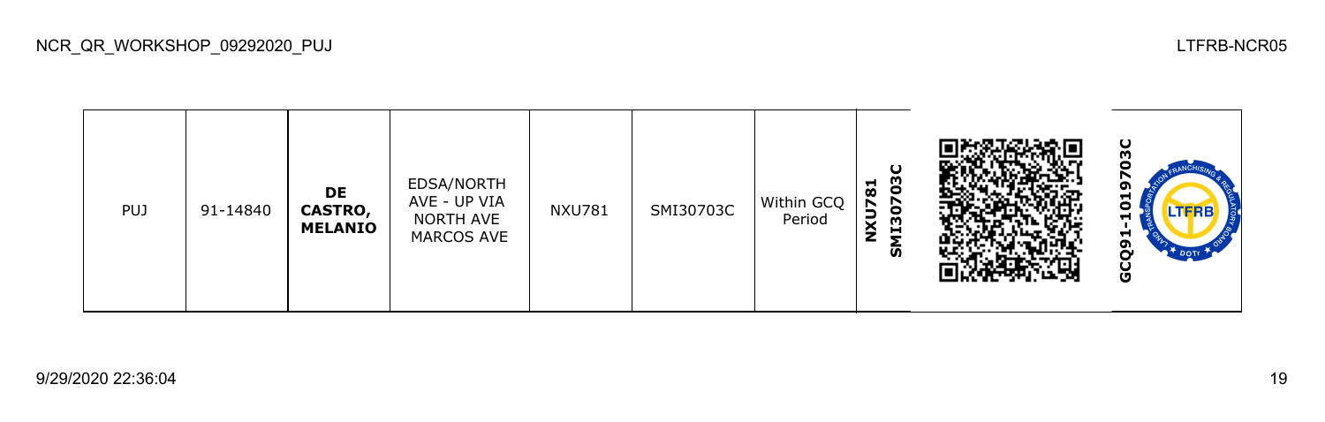

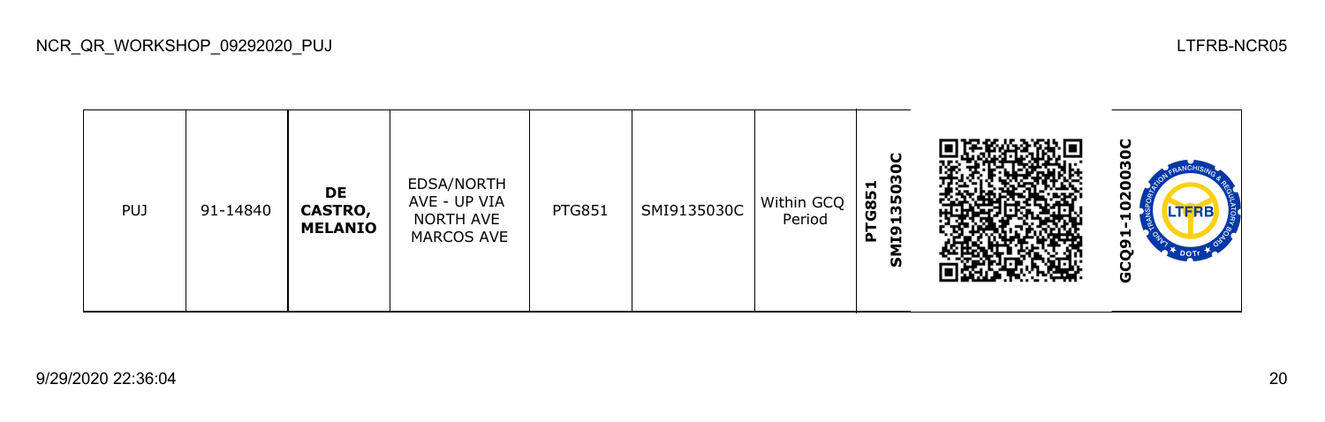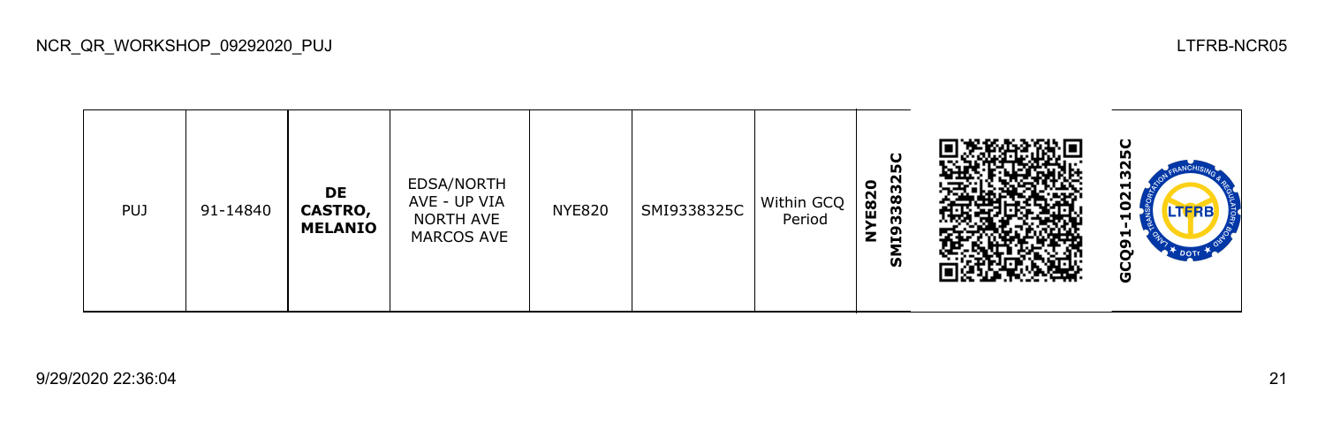| <b>PUJ</b> | 91-14840 | DE<br><b>CASTRO,</b><br><b>MELANIO</b> | EDSA/NORTH<br>AVE - UP VIA<br>NORTH AVE<br>MARCOS AVE | <b>NYE820</b> | SMI9338325C | Within GCQ<br>Period | 5C<br>33832<br>$\bullet$<br>E82<br>≩<br>Σ,<br>ົທົ |  | ပ<br>m<br>ᆏ<br>Ν<br>o<br><b>LTFRB</b><br>н<br>H<br>ີຕ<br>N<br>$\mathbb{R}^+$ DOTE<br>Ō |
|------------|----------|----------------------------------------|-------------------------------------------------------|---------------|-------------|----------------------|---------------------------------------------------|--|----------------------------------------------------------------------------------------|
|------------|----------|----------------------------------------|-------------------------------------------------------|---------------|-------------|----------------------|---------------------------------------------------|--|----------------------------------------------------------------------------------------|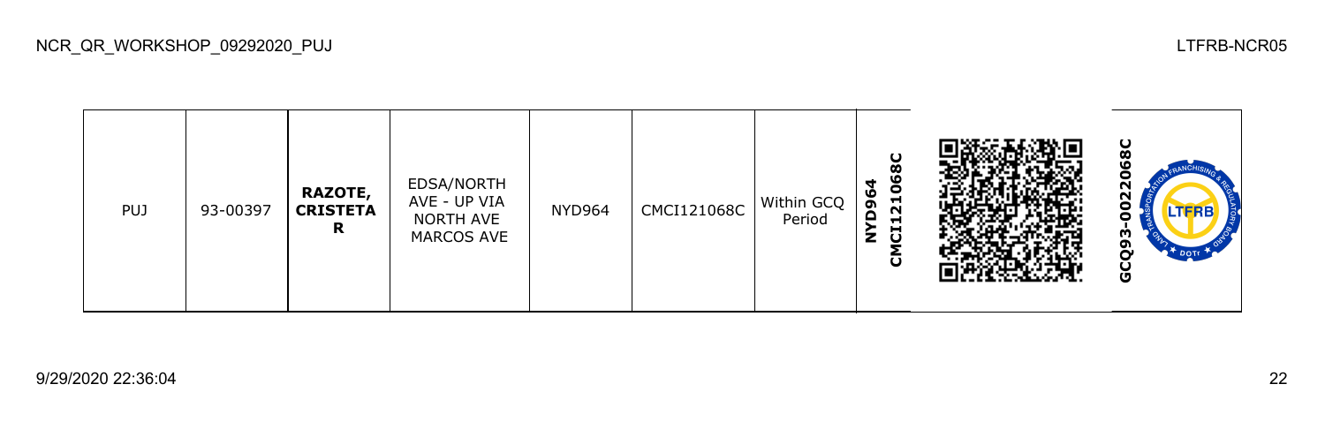| <b>PUJ</b> | 93-00397 | <b>RAZOTE,</b><br><b>CRISTETA</b><br>R | EDSA/NORTH<br>AVE - UP VIA<br>NORTH AVE<br>MARCOS AVE | <b>NYD964</b> | CMCI121068C | Within GCQ<br>Period | 8C<br>106<br>4<br>96<br>$\sim$<br>≏<br>⊣<br>J<br>z<br>ō |  | ပ<br>ο<br>25<br>o<br><b>LTFRB</b><br>о<br>ო<br>თ<br>Ò<br>Ū |
|------------|----------|----------------------------------------|-------------------------------------------------------|---------------|-------------|----------------------|---------------------------------------------------------|--|------------------------------------------------------------|
|------------|----------|----------------------------------------|-------------------------------------------------------|---------------|-------------|----------------------|---------------------------------------------------------|--|------------------------------------------------------------|

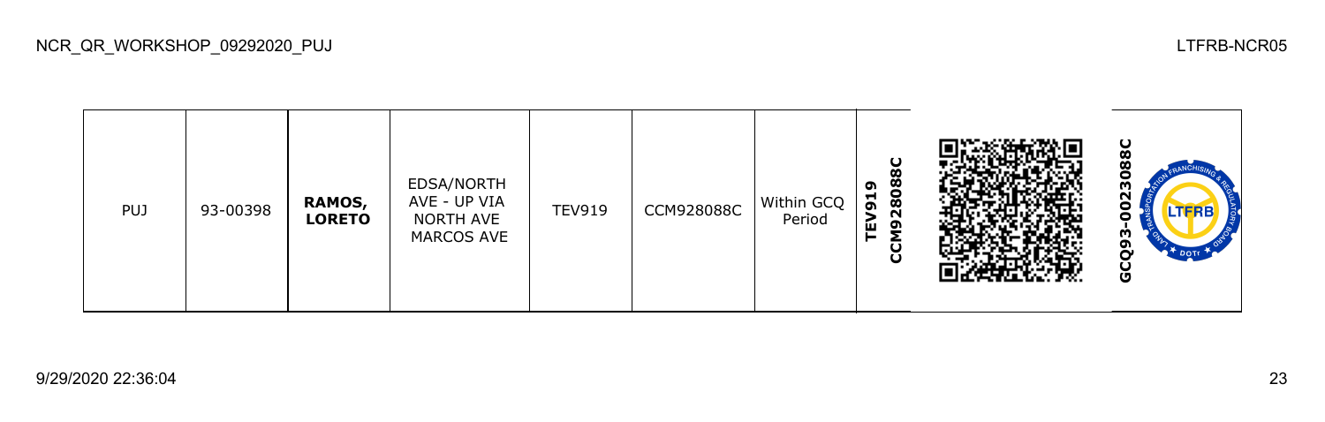| <b>PUJ</b> | 93-00398 | RAMOS,<br><b>LORETO</b> | EDSA/NORTH<br>AVE - UP VIA<br>NORTH AVE<br>MARCOS AVE | <b>TEV919</b> | CCM928088C | Within GCQ<br>Period | O<br>28088<br>ຶ<br>Н<br>ີ<br>$\overline{9}$<br>ш<br>ပ္ပ |  | ပ<br>œ<br>œ<br>с<br>m<br>N<br>.TFRB<br>w<br>ີ<br>Ō |
|------------|----------|-------------------------|-------------------------------------------------------|---------------|------------|----------------------|---------------------------------------------------------|--|----------------------------------------------------|
|------------|----------|-------------------------|-------------------------------------------------------|---------------|------------|----------------------|---------------------------------------------------------|--|----------------------------------------------------|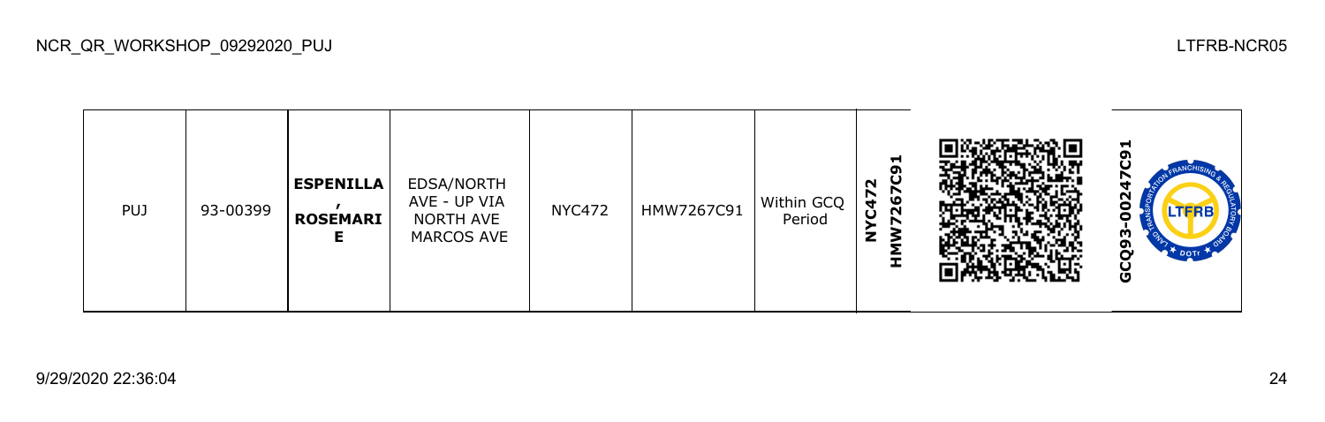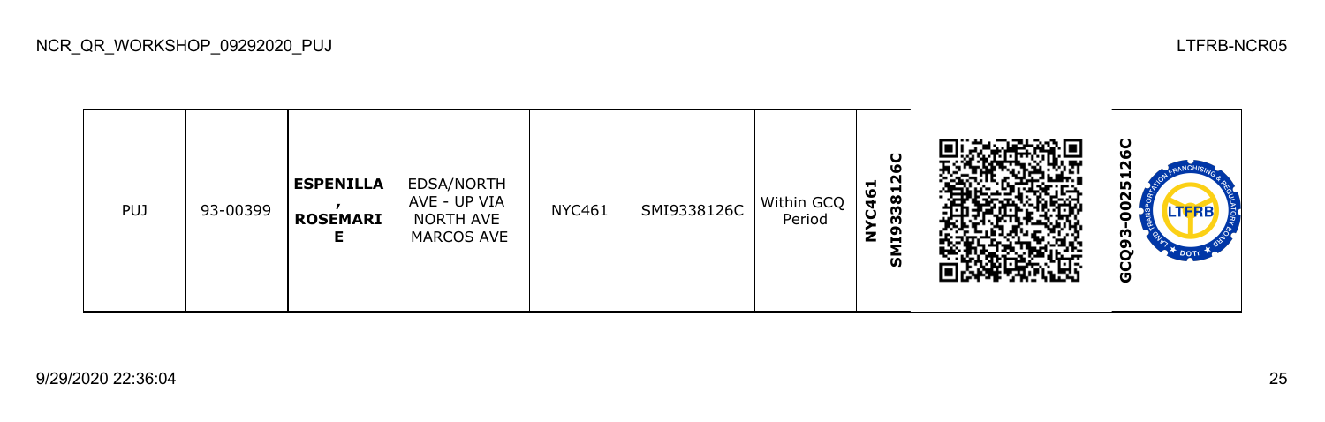

NCR\_QR\_WORKSHOP\_09292020\_PUJ LTFRB-NCR05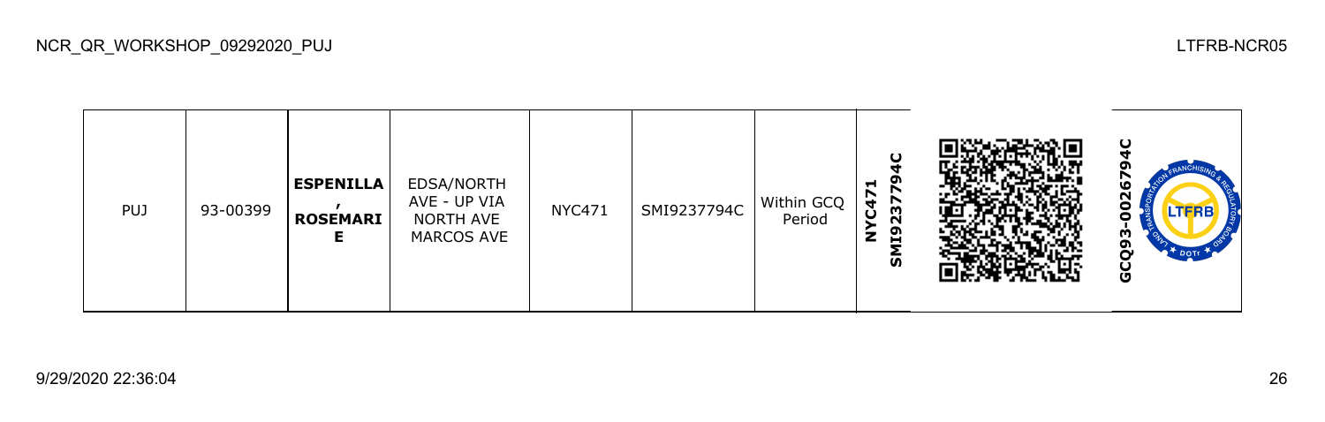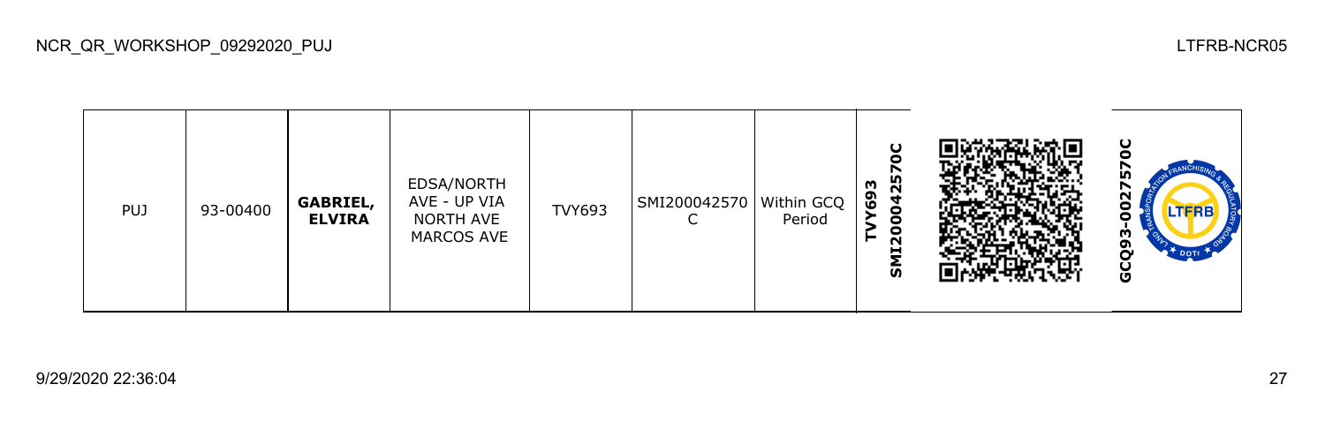| <b>PUJ</b> | 93-00400 | <b>GABRIEL,</b><br><b>ELVIRA</b> | EDSA/NORTH<br>AVE - UP VIA<br>NORTH AVE<br>MARCOS AVE | <b>TVY693</b> | SMI200042570   Within GCQ | Period | $\mathbf C$<br>25<br>m<br>စ္ပ<br>$\blacktriangleleft$<br>$\bullet$<br>0<br>0<br>N<br>-<br><b>S</b> |  | ပ<br>m<br>r<br>ี<br>LTFRB<br>w<br>ດາ<br>Ū |
|------------|----------|----------------------------------|-------------------------------------------------------|---------------|---------------------------|--------|----------------------------------------------------------------------------------------------------|--|-------------------------------------------|
|------------|----------|----------------------------------|-------------------------------------------------------|---------------|---------------------------|--------|----------------------------------------------------------------------------------------------------|--|-------------------------------------------|

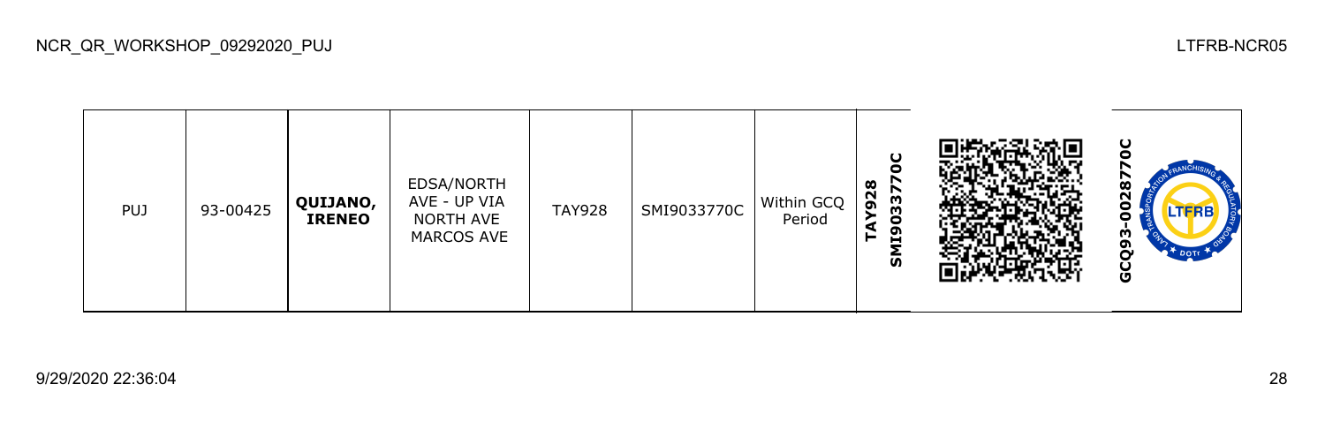

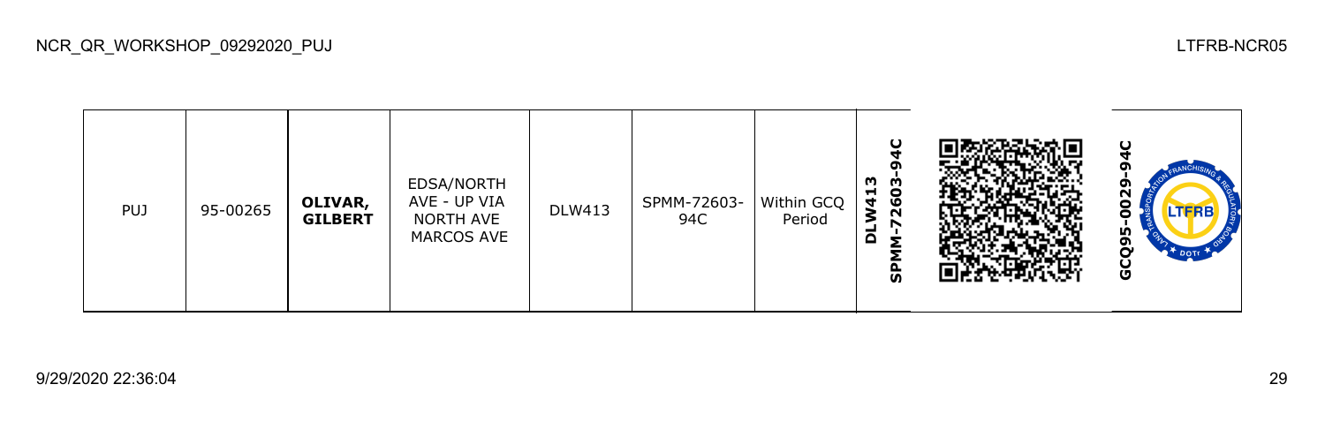| <b>PUJ</b> | 95-00265 | OLIVAR,<br><b>GILBERT</b> | EDSA/NORTH<br>AVE - UP VIA<br>NORTH AVE<br>MARCOS AVE | <b>DLW413</b> | SPMM-72603-<br>94C | Within GCQ<br>Period | ပ<br>o<br>m<br>ო<br>မိ<br><b>W41</b><br>N<br>r<br>-<br>۵<br><b>S</b> |  | ပ<br>ၛ<br>0<br><b>LTFRB</b><br>Ξ<br>IÒ,<br>თ<br>n<br>ိဗ |
|------------|----------|---------------------------|-------------------------------------------------------|---------------|--------------------|----------------------|----------------------------------------------------------------------|--|---------------------------------------------------------|
|------------|----------|---------------------------|-------------------------------------------------------|---------------|--------------------|----------------------|----------------------------------------------------------------------|--|---------------------------------------------------------|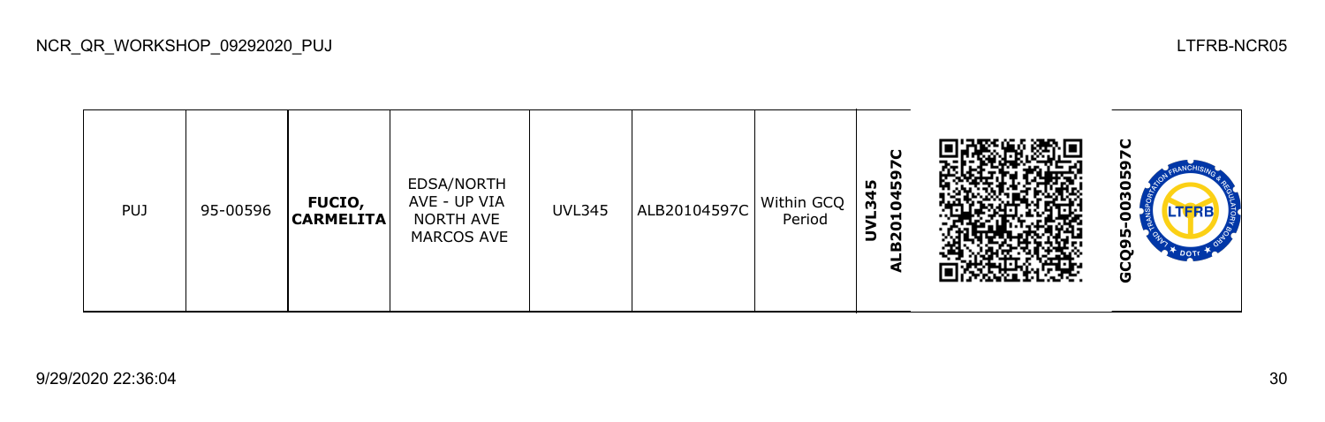**GCQ95-0030597CALB20104597C** ۰ Ŭ, EDSA/NORTH **UVL345** õ 003 PUJ 95-00596 **FUCIO,**  AVE - UP VIA UVL345 ALB20104597C Within GCQ **CARMELITA** Period NORTH AVE GCQ95-MARCOS AVE

NCR\_QR\_WORKSHOP\_09292020\_PUJ LTFRB-NCR05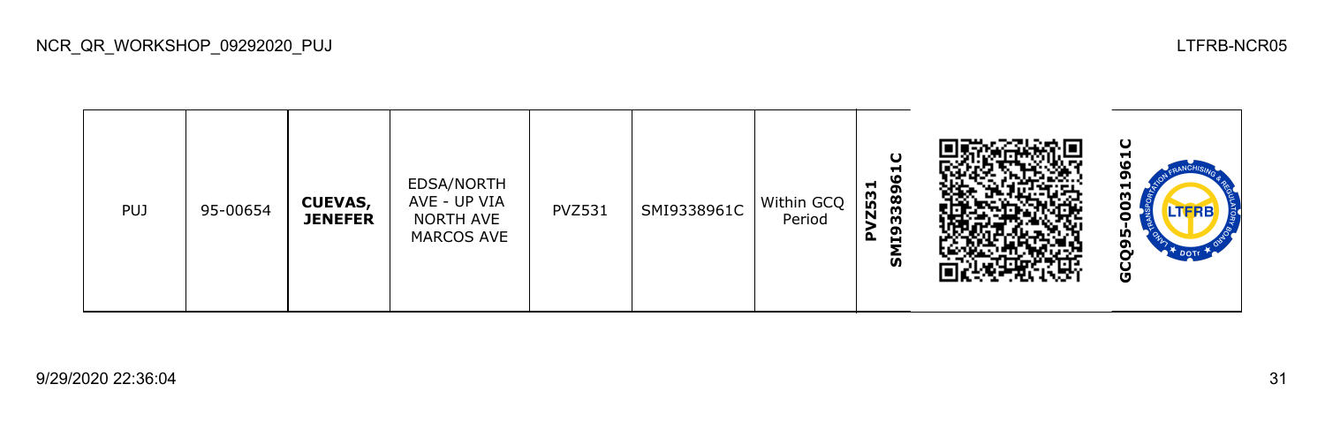|  | <b>PUJ</b> | 95-00654 | <b>CUEVAS,</b><br><b>JENEFER</b> | EDSA/NORTH<br>AVE - UP VIA<br>NORTH AVE<br>MARCOS AVE | <b>PVZ531</b> | SMI9338961C | Within GCQ<br>Period | ပ<br>ᆋ<br>33896<br>−<br><b>Z53</b><br>119<br>௨<br>ົທົ |  | ပ<br>−<br>o<br>ω<br>.TERB<br>w<br>ຫ<br>Ū |
|--|------------|----------|----------------------------------|-------------------------------------------------------|---------------|-------------|----------------------|-------------------------------------------------------|--|------------------------------------------|
|--|------------|----------|----------------------------------|-------------------------------------------------------|---------------|-------------|----------------------|-------------------------------------------------------|--|------------------------------------------|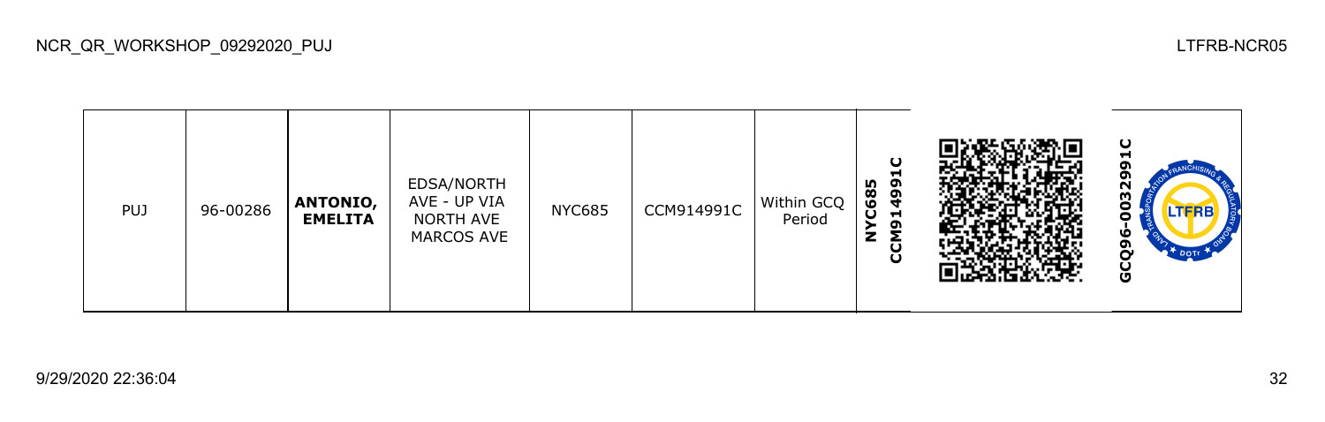| <b>PUJ</b> | 96-00286 | <b>ANTONIO,</b><br><b>EMELITA</b> | EDSA/NORTH<br>AVE - UP VIA<br>NORTH AVE<br><b>MARCOS AVE</b> | <b>NYC685</b> | CCM914991C | Within GCQ<br>Period | ပ<br>−<br>C685<br>ຶ<br>$\boldsymbol{3}$<br>Н<br>ຸດ<br>Σ<br>z<br>g |  | ပ<br>-<br>σ<br>59<br>.TFRB<br>O<br>o<br>DOTT<br>ଌ |
|------------|----------|-----------------------------------|--------------------------------------------------------------|---------------|------------|----------------------|-------------------------------------------------------------------|--|---------------------------------------------------|
|------------|----------|-----------------------------------|--------------------------------------------------------------|---------------|------------|----------------------|-------------------------------------------------------------------|--|---------------------------------------------------|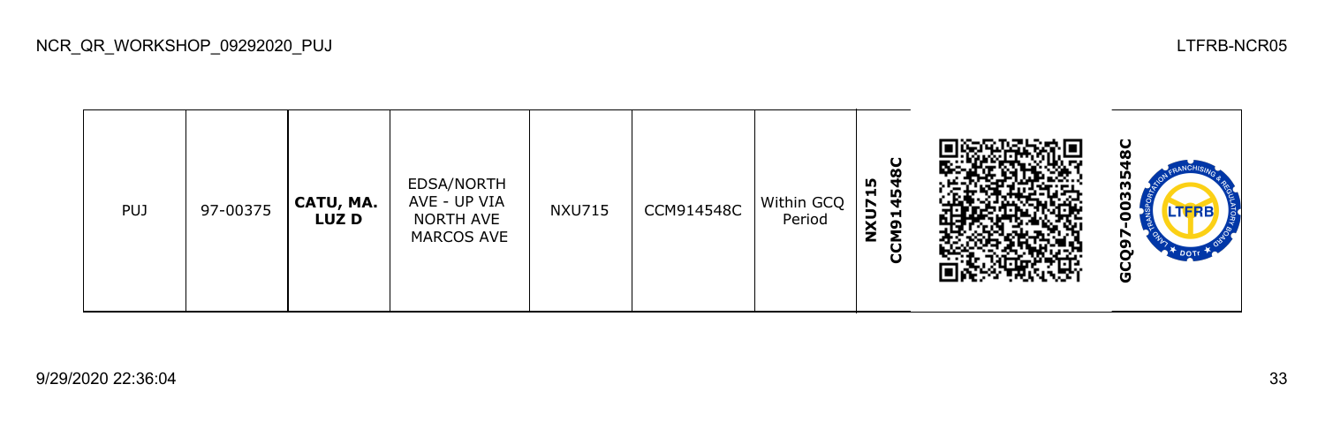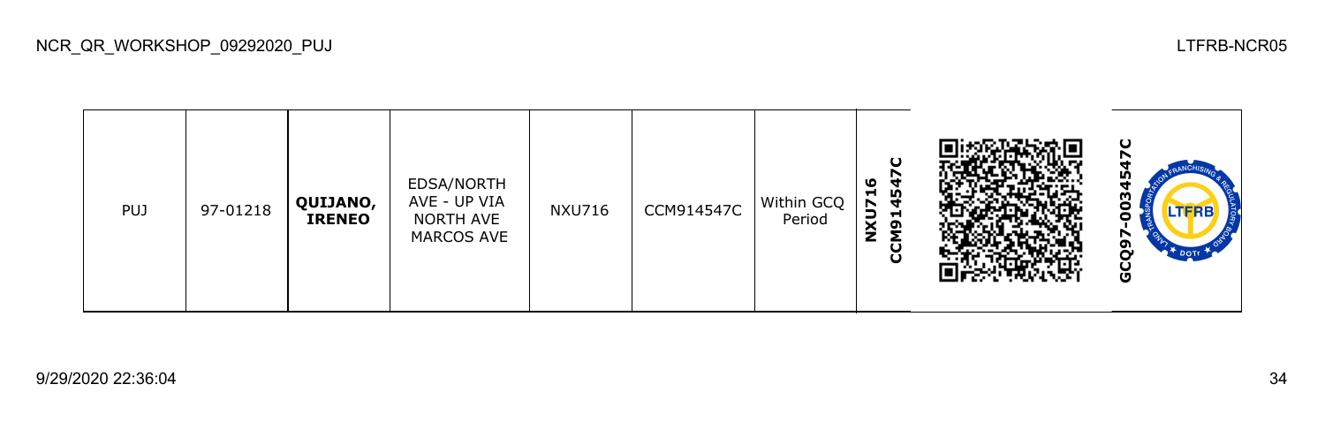



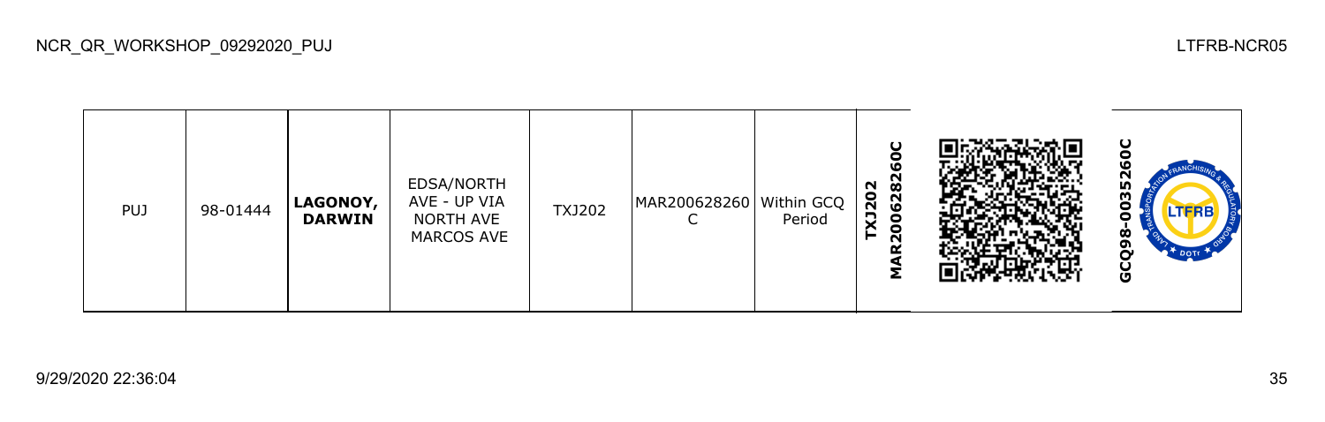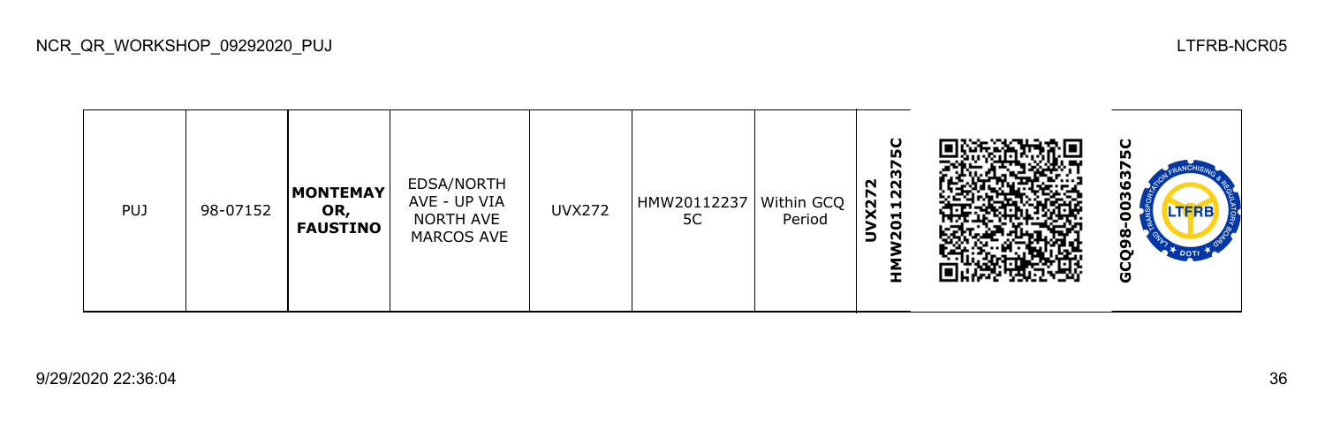|  | ےر | <b>FELIOU</b> | o<br>N | י⊂י<br>. | દ<br>$\bf{8}$<br>Ñ<br>DOTT<br>Ū |
|--|----|---------------|--------|----------|---------------------------------|
|  |    |               |        |          |                                 |